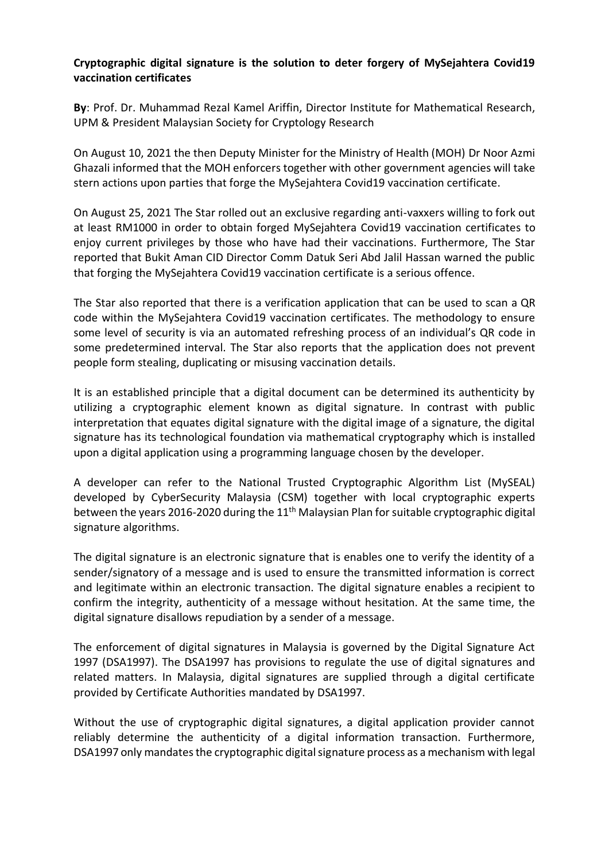## **Cryptographic digital signature is the solution to deter forgery of MySejahtera Covid19 vaccination certificates**

**By**: Prof. Dr. Muhammad Rezal Kamel Ariffin, Director Institute for Mathematical Research, UPM & President Malaysian Society for Cryptology Research

On August 10, 2021 the then Deputy Minister for the Ministry of Health (MOH) Dr Noor Azmi Ghazali informed that the MOH enforcers together with other government agencies will take stern actions upon parties that forge the MySejahtera Covid19 vaccination certificate.

On August 25, 2021 The Star rolled out an exclusive regarding anti-vaxxers willing to fork out at least RM1000 in order to obtain forged MySejahtera Covid19 vaccination certificates to enjoy current privileges by those who have had their vaccinations. Furthermore, The Star reported that Bukit Aman CID Director Comm Datuk Seri Abd Jalil Hassan warned the public that forging the MySejahtera Covid19 vaccination certificate is a serious offence.

The Star also reported that there is a verification application that can be used to scan a QR code within the MySejahtera Covid19 vaccination certificates. The methodology to ensure some level of security is via an automated refreshing process of an individual's QR code in some predetermined interval. The Star also reports that the application does not prevent people form stealing, duplicating or misusing vaccination details.

It is an established principle that a digital document can be determined its authenticity by utilizing a cryptographic element known as digital signature. In contrast with public interpretation that equates digital signature with the digital image of a signature, the digital signature has its technological foundation via mathematical cryptography which is installed upon a digital application using a programming language chosen by the developer.

A developer can refer to the National Trusted Cryptographic Algorithm List (MySEAL) developed by CyberSecurity Malaysia (CSM) together with local cryptographic experts between the years 2016-2020 during the  $11<sup>th</sup>$  Malaysian Plan for suitable cryptographic digital signature algorithms.

The digital signature is an electronic signature that is enables one to verify the identity of a sender/signatory of a message and is used to ensure the transmitted information is correct and legitimate within an electronic transaction. The digital signature enables a recipient to confirm the integrity, authenticity of a message without hesitation. At the same time, the digital signature disallows repudiation by a sender of a message.

The enforcement of digital signatures in Malaysia is governed by the Digital Signature Act 1997 (DSA1997). The DSA1997 has provisions to regulate the use of digital signatures and related matters. In Malaysia, digital signatures are supplied through a digital certificate provided by Certificate Authorities mandated by DSA1997.

Without the use of cryptographic digital signatures, a digital application provider cannot reliably determine the authenticity of a digital information transaction. Furthermore, DSA1997 only mandates the cryptographic digital signature process as a mechanism with legal